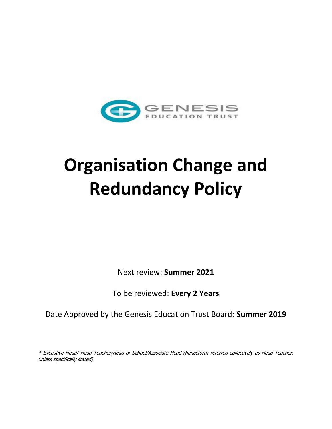

# **Organisation Change and Redundancy Policy**

Next review: **Summer 2021**

To be reviewed: **Every 2 Years**

Date Approved by the Genesis Education Trust Board: **Summer 2019**

\* Executive Head/ Head Teacher/Head of School/Associate Head (henceforth referred collectively as Head Teacher, unless specifically stated)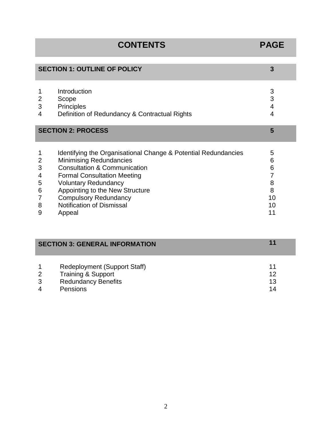|   | <b>SECTION 1: OUTLINE OF POLICY</b>                            | 3  |
|---|----------------------------------------------------------------|----|
|   |                                                                |    |
| 1 | Introduction                                                   | 3  |
|   |                                                                | 3  |
| 2 | Scope                                                          |    |
| 3 | <b>Principles</b>                                              | 4  |
| 4 | Definition of Redundancy & Contractual Rights                  | 4  |
|   |                                                                |    |
|   | <b>SECTION 2: PROCESS</b>                                      | 5  |
|   |                                                                |    |
| 1 | Identifying the Organisational Change & Potential Redundancies | 5  |
| 2 | <b>Minimising Redundancies</b>                                 | 6  |
| 3 | <b>Consultation &amp; Communication</b>                        | 6  |
| 4 | <b>Formal Consultation Meeting</b>                             |    |
| 5 | <b>Voluntary Redundancy</b>                                    | 8  |
| 6 | Appointing to the New Structure                                | 8  |
| 7 | <b>Compulsory Redundancy</b>                                   | 10 |
| 8 | <b>Notification of Dismissal</b>                               | 10 |
| 9 |                                                                | 11 |
|   | Appeal                                                         |    |
|   |                                                                |    |

**CONTENTS PAGE**

|  | <b>SECTION 3: GENERAL INFORMATION</b> |  |
|--|---------------------------------------|--|
|--|---------------------------------------|--|

| Redeployment (Support Staff)  |    |
|-------------------------------|----|
| <b>Training &amp; Support</b> |    |
| <b>Redundancy Benefits</b>    |    |
| <b>Pensions</b>               | 14 |
|                               |    |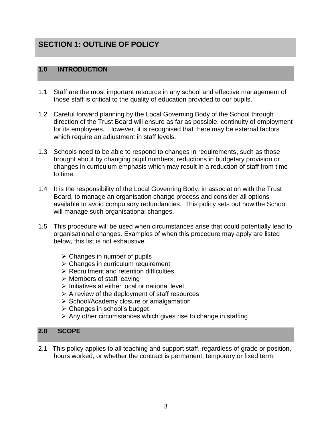# **SECTION 1: OUTLINE OF POLICY**

# **1.0 INTRODUCTION**

- 1.1 Staff are the most important resource in any school and effective management of those staff is critical to the quality of education provided to our pupils.
- 1.2 Careful forward planning by the Local Governing Body of the School through direction of the Trust Board will ensure as far as possible, continuity of employment for its employees. However, it is recognised that there may be external factors which require an adjustment in staff levels.
- 1.3 Schools need to be able to respond to changes in requirements, such as those brought about by changing pupil numbers, reductions in budgetary provision or changes in curriculum emphasis which may result in a reduction of staff from time to time.
- 1.4 It is the responsibility of the Local Governing Body, in association with the Trust Board, to manage an organisation change process and consider all options available to avoid compulsory redundancies. This policy sets out how the School will manage such organisational changes.
- 1.5 This procedure will be used when circumstances arise that could potentially lead to organisational changes. Examples of when this procedure may apply are listed below, this list is not exhaustive.
	- $\triangleright$  Changes in number of pupils
	- $\triangleright$  Changes in curriculum requirement
	- $\triangleright$  Recruitment and retention difficulties
	- $\triangleright$  Members of staff leaving
	- $\triangleright$  Initiatives at either local or national level
	- $\triangleright$  A review of the deployment of staff resources
	- School/Academy closure or amalgamation
	- Changes in school's budget
	- $\triangleright$  Any other circumstances which gives rise to change in staffing

#### **2.0 SCOPE**

2.1 This policy applies to all teaching and support staff, regardless of grade or position, hours worked, or whether the contract is permanent, temporary or fixed term.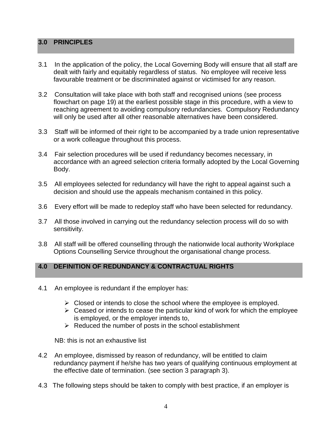#### **3.0 PRINCIPLES**

- 3.1 In the application of the policy, the Local Governing Body will ensure that all staff are dealt with fairly and equitably regardless of status. No employee will receive less favourable treatment or be discriminated against or victimised for any reason.
- 3.2 Consultation will take place with both staff and recognised unions (see process flowchart on page 19) at the earliest possible stage in this procedure, with a view to reaching agreement to avoiding compulsory redundancies. Compulsory Redundancy will only be used after all other reasonable alternatives have been considered.
- 3.3 Staff will be informed of their right to be accompanied by a trade union representative or a work colleague throughout this process.
- 3.4 Fair selection procedures will be used if redundancy becomes necessary, in accordance with an agreed selection criteria formally adopted by the Local Governing Body.
- 3.5 All employees selected for redundancy will have the right to appeal against such a decision and should use the appeals mechanism contained in this policy.
- 3.6 Every effort will be made to redeploy staff who have been selected for redundancy.
- 3.7 All those involved in carrying out the redundancy selection process will do so with sensitivity.
- 3.8 All staff will be offered counselling through the nationwide local authority Workplace Options Counselling Service throughout the organisational change process.

#### **4.0 DEFINITION OF REDUNDANCY & CONTRACTUAL RIGHTS**

- 4.1 An employee is redundant if the employer has:
	- $\triangleright$  Closed or intends to close the school where the employee is employed.
	- $\triangleright$  Ceased or intends to cease the particular kind of work for which the employee is employed, or the employer intends to,
	- $\triangleright$  Reduced the number of posts in the school establishment

NB: this is not an exhaustive list

- 4.2 An employee, dismissed by reason of redundancy, will be entitled to claim redundancy payment if he/she has two years of qualifying continuous employment at the effective date of termination. (see section 3 paragraph 3).
- 4.3 The following steps should be taken to comply with best practice, if an employer is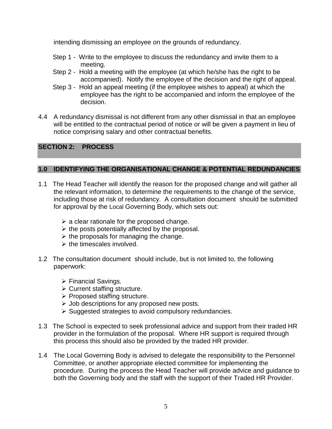intending dismissing an employee on the grounds of redundancy.

- Step 1 Write to the employee to discuss the redundancy and invite them to a meeting.
- Step 2 Hold a meeting with the employee (at which he/she has the right to be accompanied). Notify the employee of the decision and the right of appeal.
- Step 3 Hold an appeal meeting (if the employee wishes to appeal) at which the employee has the right to be accompanied and inform the employee of the decision.
- 4.4 A redundancy dismissal is not different from any other dismissal in that an employee will be entitled to the contractual period of notice or will be given a payment in lieu of notice comprising salary and other contractual benefits.

# **SECTION 2: PROCESS**

#### **1.0 IDENTIFYING THE ORGANISATIONAL CHANGE & POTENTIAL REDUNDANCIES**

- 1.1 The Head Teacher will identify the reason for the proposed change and will gather all the relevant information, to determine the requirements to the change of the service, including those at risk of redundancy. A consultation document should be submitted for approval by the Local Governing Body, which sets out:
	- $\triangleright$  a clear rationale for the proposed change.
	- $\triangleright$  the posts potentially affected by the proposal.
	- $\triangleright$  the proposals for managing the change.
	- $\triangleright$  the timescales involved.
- 1.2 The consultation document should include, but is not limited to, the following paperwork:
	- ▶ Financial Savings.
	- $\triangleright$  Current staffing structure.
	- $\triangleright$  Proposed staffing structure.
	- $\triangleright$  Job descriptions for any proposed new posts.
	- $\triangleright$  Suggested strategies to avoid compulsory redundancies.
- 1.3 The School is expected to seek professional advice and support from their traded HR provider in the formulation of the proposal. Where HR support is required through this process this should also be provided by the traded HR provider.
- 1.4 The Local Governing Body is advised to delegate the responsibility to the Personnel Committee, or another appropriate elected committee for implementing the procedure. During the process the Head Teacher will provide advice and guidance to both the Governing body and the staff with the support of their Traded HR Provider.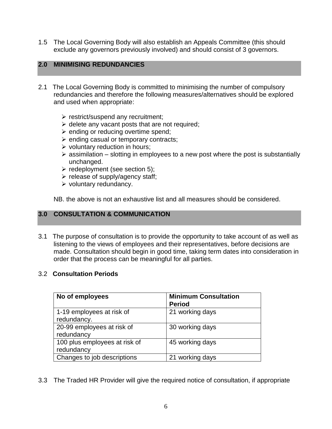1.5 The Local Governing Body will also establish an Appeals Committee (this should exclude any governors previously involved) and should consist of 3 governors.

# **2.0 MINIMISING REDUNDANCIES**

- 2.1 The Local Governing Body is committed to minimising the number of compulsory redundancies and therefore the following measures/alternatives should be explored and used when appropriate:
	- $\triangleright$  restrict/suspend any recruitment;
	- $\triangleright$  delete any vacant posts that are not required;
	- $\triangleright$  ending or reducing overtime spend;
	- $\triangleright$  ending casual or temporary contracts;
	- $\triangleright$  voluntary reduction in hours;
	- $\triangleright$  assimilation slotting in employees to a new post where the post is substantially unchanged.
	- $\triangleright$  redeployment (see section 5);
	- $\triangleright$  release of supply/agency staff;
	- $\triangleright$  voluntary redundancy.

NB. the above is not an exhaustive list and all measures should be considered.

# **3.0 CONSULTATION & COMMUNICATION**

3.1 The purpose of consultation is to provide the opportunity to take account of as well as listening to the views of employees and their representatives, before decisions are made. Consultation should begin in good time, taking term dates into consideration in order that the process can be meaningful for all parties.

# 3.2 **Consultation Periods**

| No of employees                             | <b>Minimum Consultation</b><br><b>Period</b> |
|---------------------------------------------|----------------------------------------------|
| 1-19 employees at risk of<br>redundancy.    | 21 working days                              |
| 20-99 employees at risk of<br>redundancy    | 30 working days                              |
| 100 plus employees at risk of<br>redundancy | 45 working days                              |
| Changes to job descriptions                 | 21 working days                              |

3.3 The Traded HR Provider will give the required notice of consultation, if appropriate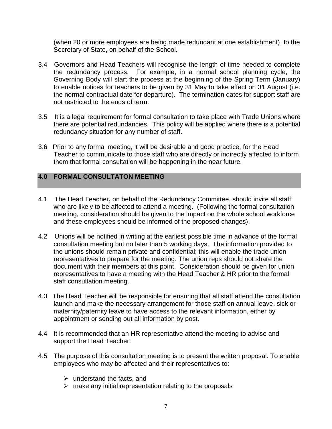(when 20 or more employees are being made redundant at one establishment), to the Secretary of State, on behalf of the School.

- 3.4 Governors and Head Teachers will recognise the length of time needed to complete the redundancy process. For example, in a normal school planning cycle, the Governing Body will start the process at the beginning of the Spring Term (January) to enable notices for teachers to be given by 31 May to take effect on 31 August (i.e. the normal contractual date for departure). The termination dates for support staff are not restricted to the ends of term.
- 3.5 It is a legal requirement for formal consultation to take place with Trade Unions where there are potential redundancies. This policy will be applied where there is a potential redundancy situation for any number of staff.
- 3.6 Prior to any formal meeting, it will be desirable and good practice, for the Head Teacher to communicate to those staff who are directly or indirectly affected to inform them that formal consultation will be happening in the near future.

# **4.0 FORMAL CONSULTATON MEETING**

- 4.1 The Head Teacher**,** on behalf of the Redundancy Committee, should invite all staff who are likely to be affected to attend a meeting. (Following the formal consultation meeting, consideration should be given to the impact on the whole school workforce and these employees should be informed of the proposed changes).
- 4.2 Unions will be notified in writing at the earliest possible time in advance of the formal consultation meeting but no later than 5 working days. The information provided to the unions should remain private and confidential; this will enable the trade union representatives to prepare for the meeting. The union reps should not share the document with their members at this point. Consideration should be given for union representatives to have a meeting with the Head Teacher & HR prior to the formal staff consultation meeting.
- 4.3 The Head Teacher will be responsible for ensuring that all staff attend the consultation launch and make the necessary arrangement for those staff on annual leave, sick or maternity/paternity leave to have access to the relevant information, either by appointment or sending out all information by post.
- 4.4 It is recommended that an HR representative attend the meeting to advise and support the Head Teacher.
- 4.5 The purpose of this consultation meeting is to present the written proposal. To enable employees who may be affected and their representatives to:
	- $\triangleright$  understand the facts, and
	- $\triangleright$  make any initial representation relating to the proposals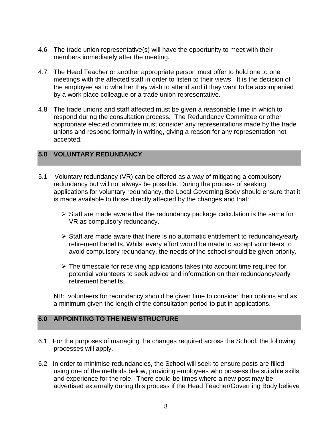- 4.6 The trade union representative(s) will have the opportunity to meet with their members immediately after the meeting.
- 4.7 The Head Teacher or another appropriate person must offer to hold one to one meetings with the affected staff in order to listen to their views. It is the decision of the employee as to whether they wish to attend and if they want to be accompanied by a work place colleague or a trade union representative.
- 4.8 The trade unions and staff affected must be given a reasonable time in which to respond during the consultation process. The Redundancy Committee or other appropriate elected committee must consider any representations made by the trade unions and respond formally in writing, giving a reason for any representation not accepted.

#### **5.0 VOLUNTARY REDUNDANCY**

- 5.1 Voluntary redundancy (VR) can be offered as a way of mitigating a compulsory redundancy but will not always be possible. During the process of seeking applications for voluntary redundancy, the Local Governing Body should ensure that it is made available to those directly affected by the changes and that:
	- $\triangleright$  Staff are made aware that the redundancy package calculation is the same for VR as compulsory redundancy.
	- $\triangleright$  Staff are made aware that there is no automatic entitlement to redundancy/early retirement benefits. Whilst every effort would be made to accept volunteers to avoid compulsory redundancy, the needs of the school should be given priority.
	- $\triangleright$  The timescale for receiving applications takes into account time required for potential volunteers to seek advice and information on their redundancy/early retirement benefits.

NB: volunteers for redundancy should be given time to consider their options and as a minimum given the length of the consultation period to put in applications.

# **6.0 APPOINTING TO THE NEW STRUCTURE**

- 6.1 For the purposes of managing the changes required across the School, the following processes will apply.
- 6.2 In order to minimise redundancies, the School will seek to ensure posts are filled using one of the methods below, providing employees who possess the suitable skills and experience for the role. There could be times where a new post may be advertised externally during this process if the Head Teacher/Governing Body believe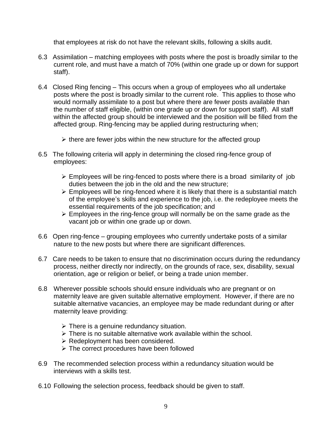that employees at risk do not have the relevant skills, following a skills audit.

- 6.3 Assimilation matching employees with posts where the post is broadly similar to the current role, and must have a match of 70% (within one grade up or down for support staff).
- 6.4 Closed Ring fencing This occurs when a group of employees who all undertake posts where the post is broadly similar to the current role. This applies to those who would normally assimilate to a post but where there are fewer posts available than the number of staff eligible, (within one grade up or down for support staff). All staff within the affected group should be interviewed and the position will be filled from the affected group. Ring-fencing may be applied during restructuring when;
	- $\triangleright$  there are fewer jobs within the new structure for the affected group
- 6.5 The following criteria will apply in determining the closed ring-fence group of employees:
	- $\triangleright$  Employees will be ring-fenced to posts where there is a broad similarity of job duties between the job in the old and the new structure;
	- $\triangleright$  Employees will be ring-fenced where it is likely that there is a substantial match of the employee's skills and experience to the job, i.e. the redeployee meets the essential requirements of the job specification; and
	- $\triangleright$  Employees in the ring-fence group will normally be on the same grade as the vacant job or within one grade up or down.
- 6.6 Open ring-fence grouping employees who currently undertake posts of a similar nature to the new posts but where there are significant differences.
- 6.7 Care needs to be taken to ensure that no discrimination occurs during the redundancy process, neither directly nor indirectly, on the grounds of race, sex, disability, sexual orientation, age or religion or belief, or being a trade union member.
- 6.8 Wherever possible schools should ensure individuals who are pregnant or on maternity leave are given suitable alternative employment. However, if there are no suitable alternative vacancies, an employee may be made redundant during or after maternity leave providing:
	- $\triangleright$  There is a genuine redundancy situation.
	- $\triangleright$  There is no suitable alternative work available within the school.
	- $\triangleright$  Redeployment has been considered.
	- $\triangleright$  The correct procedures have been followed
- 6.9 The recommended selection process within a redundancy situation would be interviews with a skills test.
- 6.10 Following the selection process, feedback should be given to staff.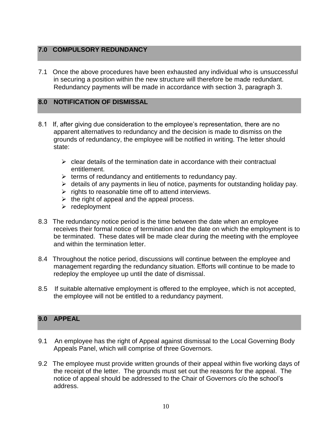# **7.0 COMPULSORY REDUNDANCY**

7.1 Once the above procedures have been exhausted any individual who is unsuccessful in securing a position within the new structure will therefore be made redundant. Redundancy payments will be made in accordance with section 3, paragraph 3.

#### **8.0 NOTIFICATION OF DISMISSAL**

- 8.1 If, after giving due consideration to the employee's representation, there are no apparent alternatives to redundancy and the decision is made to dismiss on the grounds of redundancy, the employee will be notified in writing. The letter should state:
	- $\triangleright$  clear details of the termination date in accordance with their contractual entitlement.
	- $\triangleright$  terms of redundancy and entitlements to redundancy pay.
	- $\triangleright$  details of any payments in lieu of notice, payments for outstanding holiday pay.
	- $\triangleright$  rights to reasonable time off to attend interviews.
	- $\triangleright$  the right of appeal and the appeal process.
	- $\triangleright$  redeployment
- 8.3 The redundancy notice period is the time between the date when an employee receives their formal notice of termination and the date on which the employment is to be terminated. These dates will be made clear during the meeting with the employee and within the termination letter.
- 8.4 Throughout the notice period, discussions will continue between the employee and management regarding the redundancy situation. Efforts will continue to be made to redeploy the employee up until the date of dismissal.
- 8.5 If suitable alternative employment is offered to the employee, which is not accepted, the employee will not be entitled to a redundancy payment.

#### **9.0 APPEAL**

- 9.1 An employee has the right of Appeal against dismissal to the Local Governing Body Appeals Panel, which will comprise of three Governors.
- 9.2 The employee must provide written grounds of their appeal within five working days of the receipt of the letter. The grounds must set out the reasons for the appeal. The notice of appeal should be addressed to the Chair of Governors c/o the school's address.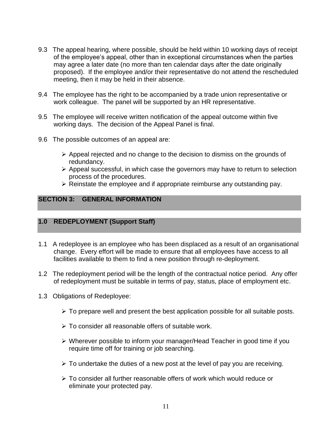- 9.3 The appeal hearing, where possible, should be held within 10 working days of receipt of the employee's appeal, other than in exceptional circumstances when the parties may agree a later date (no more than ten calendar days after the date originally proposed). If the employee and/or their representative do not attend the rescheduled meeting, then it may be held in their absence.
- 9.4 The employee has the right to be accompanied by a trade union representative or work colleague. The panel will be supported by an HR representative.
- 9.5 The employee will receive written notification of the appeal outcome within five working days. The decision of the Appeal Panel is final.
- 9.6 The possible outcomes of an appeal are:
	- $\triangleright$  Appeal rejected and no change to the decision to dismiss on the grounds of redundancy.
	- $\triangleright$  Appeal successful, in which case the governors may have to return to selection process of the procedures.
	- $\triangleright$  Reinstate the employee and if appropriate reimburse any outstanding pay.

#### **SECTION 3: GENERAL INFORMATION**

#### **1.0 REDEPLOYMENT (Support Staff)**

- 1.1 A redeployee is an employee who has been displaced as a result of an organisational change. Every effort will be made to ensure that all employees have access to all facilities available to them to find a new position through re-deployment.
- 1.2 The redeployment period will be the length of the contractual notice period. Any offer of redeployment must be suitable in terms of pay, status, place of employment etc.
- 1.3 Obligations of Redeployee:
	- $\triangleright$  To prepare well and present the best application possible for all suitable posts.
	- $\triangleright$  To consider all reasonable offers of suitable work.
	- Wherever possible to inform your manager/Head Teacher in good time if you require time off for training or job searching.
	- $\triangleright$  To undertake the duties of a new post at the level of pay you are receiving.
	- To consider all further reasonable offers of work which would reduce or eliminate your protected pay.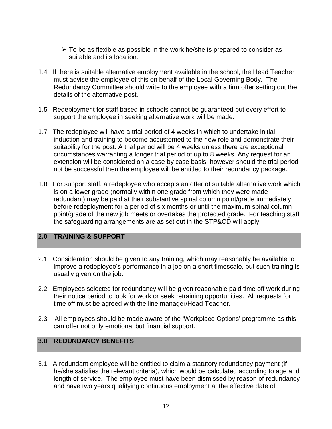- $\triangleright$  To be as flexible as possible in the work he/she is prepared to consider as suitable and its location.
- 1.4 If there is suitable alternative employment available in the school, the Head Teacher must advise the employee of this on behalf of the Local Governing Body. The Redundancy Committee should write to the employee with a firm offer setting out the details of the alternative post. .
- 1.5 Redeployment for staff based in schools cannot be guaranteed but every effort to support the employee in seeking alternative work will be made.
- 1.7 The redeployee will have a trial period of 4 weeks in which to undertake initial induction and training to become accustomed to the new role and demonstrate their suitability for the post. A trial period will be 4 weeks unless there are exceptional circumstances warranting a longer trial period of up to 8 weeks. Any request for an extension will be considered on a case by case basis, however should the trial period not be successful then the employee will be entitled to their redundancy package.
- 1.8 For support staff, a redeployee who accepts an offer of suitable alternative work which is on a lower grade (normally within one grade from which they were made redundant) may be paid at their substantive spinal column point/grade immediately before redeployment for a period of six months or until the maximum spinal column point/grade of the new job meets or overtakes the protected grade. For teaching staff the safeguarding arrangements are as set out in the STP&CD will apply.

#### **2.0 TRAINING & SUPPORT**

- 2.1 Consideration should be given to any training, which may reasonably be available to improve a redeployee's performance in a job on a short timescale, but such training is usually given on the job.
- 2.2 Employees selected for redundancy will be given reasonable paid time off work during their notice period to look for work or seek retraining opportunities. All requests for time off must be agreed with the line manager/Head Teacher.
- 2.3 All employees should be made aware of the 'Workplace Options' programme as this can offer not only emotional but financial support.

#### **3.0 REDUNDANCY BENEFITS**

3.1 A redundant employee will be entitled to claim a statutory redundancy payment (if he/she satisfies the relevant criteria), which would be calculated according to age and length of service. The employee must have been dismissed by reason of redundancy and have two years qualifying continuous employment at the effective date of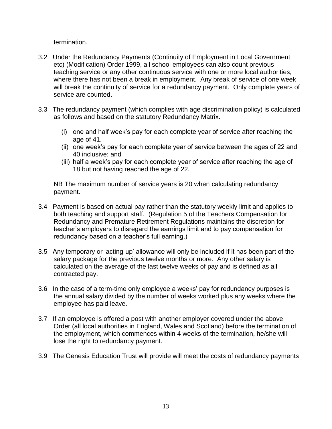termination.

- 3.2 Under the Redundancy Payments (Continuity of Employment in Local Government etc) (Modification) Order 1999, all school employees can also count previous teaching service or any other continuous service with one or more local authorities, where there has not been a break in employment. Any break of service of one week will break the continuity of service for a redundancy payment. Only complete years of service are counted.
- 3.3 The redundancy payment (which complies with age discrimination policy) is calculated as follows and based on the statutory Redundancy Matrix.
	- (i) one and half week's pay for each complete year of service after reaching the age of 41.
	- (ii) one week's pay for each complete year of service between the ages of 22 and 40 inclusive; and
	- (iii) half a week's pay for each complete year of service after reaching the age of 18 but not having reached the age of 22.

NB The maximum number of service years is 20 when calculating redundancy payment.

- 3.4 Payment is based on actual pay rather than the statutory weekly limit and applies to both teaching and support staff. (Regulation 5 of the Teachers Compensation for Redundancy and Premature Retirement Regulations maintains the discretion for teacher's employers to disregard the earnings limit and to pay compensation for redundancy based on a teacher's full earning.)
- 3.5 Any temporary or 'acting-up' allowance will only be included if it has been part of the salary package for the previous twelve months or more. Any other salary is calculated on the average of the last twelve weeks of pay and is defined as all contracted pay.
- 3.6 In the case of a term-time only employee a weeks' pay for redundancy purposes is the annual salary divided by the number of weeks worked plus any weeks where the employee has paid leave.
- 3.7 If an employee is offered a post with another employer covered under the above Order (all local authorities in England, Wales and Scotland) before the termination of the employment, which commences within 4 weeks of the termination, he/she will lose the right to redundancy payment.
- 3.9 The Genesis Education Trust will provide will meet the costs of redundancy payments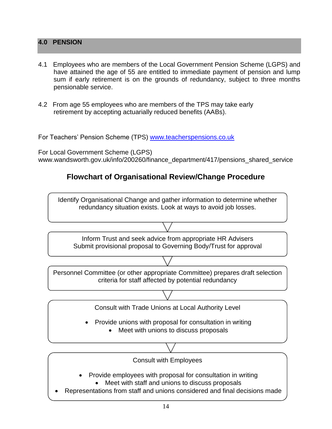# **4.0 PENSION**

- 4.1 Employees who are members of the Local Government Pension Scheme (LGPS) and have attained the age of 55 are entitled to immediate payment of pension and lump sum if early retirement is on the grounds of redundancy, subject to three months pensionable service.
- 4.2 From age 55 employees who are members of the TPS may take early retirement by accepting actuarially reduced benefits (AABs).

For Teachers' Pension Scheme (TPS) [www.teacherspensions.co.uk](http://www.teacherspensions.co.uk/)

For Local Government Scheme (LGPS) www.wandsworth.gov.uk/info/200260/finance\_department/417/pensions\_shared\_service

# **Flowchart of Organisational Review/Change Procedure**

Identify Organisational Change and gather information to determine whether redundancy situation exists. Look at ways to avoid job losses.

Inform Trust and seek advice from appropriate HR Advisers Submit provisional proposal to Governing Body/Trust for approval

Personnel Committee (or other appropriate Committee) prepares draft selection criteria for staff affected by potential redundancy

Consult with Trade Unions at Local Authority Level

- Provide unions with proposal for consultation in writing
	- Meet with unions to discuss proposals
		- Consult with Employees
- Provide employees with proposal for consultation in writing Meet with staff and unions to discuss proposals
- Representations from staff and unions considered and final decisions made